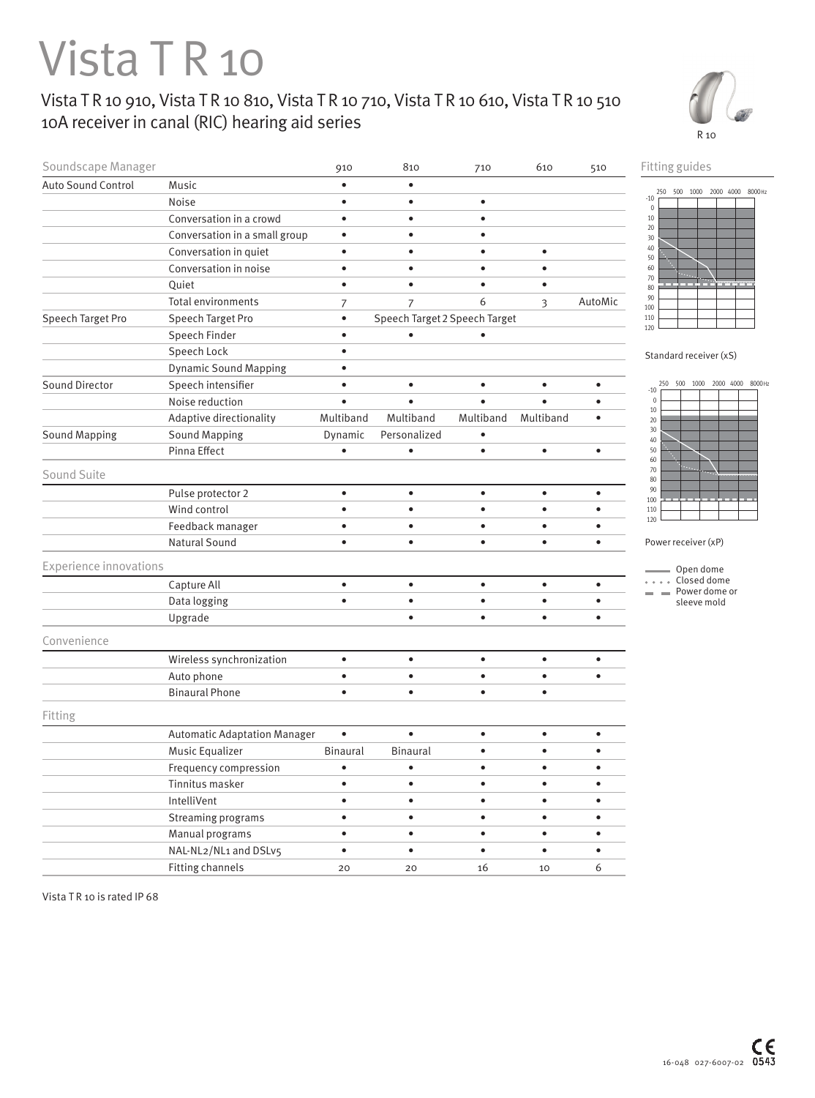## Vista TR<sub>10</sub>

## Vista T R 10 910, Vista T R 10 810, Vista T R 10 710, Vista T R 10 610, Vista T R 10 510 10A receiver in canal (RIC) hearing aid series



| Soundscape Manager            |                                     | 910             | 810                           | 710       | 610       | 510       | Fitting guides                             |
|-------------------------------|-------------------------------------|-----------------|-------------------------------|-----------|-----------|-----------|--------------------------------------------|
| <b>Auto Sound Control</b>     | Music                               | $\bullet$       | $\bullet$                     |           |           |           | 2000 4000 8000Hz<br>500 1000<br>250        |
|                               | Noise                               | $\bullet$       | $\bullet$                     | $\bullet$ |           |           | $-10$<br>$\bf{0}$                          |
|                               | Conversation in a crowd             | $\bullet$       | $\bullet$                     | $\bullet$ |           |           | $10\,$                                     |
|                               | Conversation in a small group       | $\bullet$       | $\bullet$                     | $\bullet$ |           |           | $20\,$<br>30                               |
|                               | Conversation in quiet               | $\bullet$       | $\bullet$                     | $\bullet$ | $\bullet$ |           | $40\,$<br>50                               |
|                               | Conversation in noise               | $\bullet$       | $\bullet$                     | $\bullet$ | $\bullet$ |           | 60                                         |
|                               | Quiet                               | $\bullet$       | $\bullet$                     | $\bullet$ | $\bullet$ |           | 70<br>80                                   |
|                               | Total environments                  | $\overline{7}$  | $\overline{7}$                | 6         | 3         | AutoMic   | 90<br>100                                  |
| Speech Target Pro             | Speech Target Pro                   | $\bullet$       | Speech Target 2 Speech Target |           |           |           | $110\,$                                    |
|                               | Speech Finder                       | $\bullet$       |                               |           |           |           | 120                                        |
|                               | Speech Lock                         | $\bullet$       |                               |           |           |           | Standard receiver (xS)                     |
|                               | <b>Dynamic Sound Mapping</b>        | $\bullet$       |                               |           |           |           |                                            |
| Sound Director                | Speech intensifier                  | $\bullet$       | $\bullet$                     | $\bullet$ | $\bullet$ | $\bullet$ | 500 1000 2000 4000 8000 Hz<br>250<br>$-10$ |
|                               | Noise reduction                     | $\bullet$       | $\bullet$                     | $\bullet$ | $\bullet$ | $\bullet$ | $\mathbb O$                                |
|                               | Adaptive directionality             | Multiband       | Multiband                     | Multiband | Multiband | $\bullet$ | $10\,$<br>$20\,$                           |
| <b>Sound Mapping</b>          | <b>Sound Mapping</b>                | Dynamic         | Personalized                  | $\bullet$ |           |           | 30<br>40                                   |
|                               | Pinna Effect                        | $\bullet$       | $\bullet$                     | $\bullet$ | $\bullet$ | $\bullet$ | 50                                         |
| Sound Suite                   |                                     |                 |                               |           |           |           | 60<br>$70\,$<br>80                         |
|                               | Pulse protector 2                   | $\bullet$       | $\bullet$                     | $\bullet$ | $\bullet$ | $\bullet$ | 90                                         |
|                               | Wind control                        | $\bullet$       | $\bullet$                     | $\bullet$ | $\bullet$ | $\bullet$ | 100<br>110                                 |
|                               | Feedback manager                    | $\bullet$       | $\bullet$                     | $\bullet$ | $\bullet$ | $\bullet$ | 120                                        |
|                               | Natural Sound                       | $\bullet$       | $\bullet$                     | $\bullet$ | $\bullet$ | $\bullet$ | Power receiver (xP)                        |
| <b>Experience innovations</b> |                                     |                 |                               |           |           |           | Open dome                                  |
|                               | Capture All                         | $\bullet$       | $\bullet$                     | $\bullet$ | $\bullet$ | $\bullet$ | Closed dome                                |
|                               | Data logging                        | $\bullet$       | $\bullet$                     | $\bullet$ | $\bullet$ | $\bullet$ | Power dome or<br>sleeve mold               |
|                               | Upgrade                             |                 | $\bullet$                     | $\bullet$ | $\bullet$ | $\bullet$ |                                            |
| Convenience                   |                                     |                 |                               |           |           |           |                                            |
|                               | Wireless synchronization            | $\bullet$       | $\bullet$                     | $\bullet$ | $\bullet$ | $\bullet$ |                                            |
|                               | Auto phone                          | $\bullet$       | $\bullet$                     | $\bullet$ | $\bullet$ | $\bullet$ |                                            |
|                               | <b>Binaural Phone</b>               | $\bullet$       | $\bullet$                     | $\bullet$ | $\bullet$ |           |                                            |
| Fitting                       |                                     |                 |                               |           |           |           |                                            |
|                               | <b>Automatic Adaptation Manager</b> | $\bullet$       | $\bullet$                     | $\bullet$ | $\bullet$ | $\bullet$ |                                            |
|                               | Music Equalizer                     | <b>Binaural</b> | <b>Binaural</b>               | $\bullet$ | $\bullet$ | $\bullet$ |                                            |
|                               | Frequency compression               | $\bullet$       | $\bullet$                     | $\bullet$ | $\bullet$ | $\bullet$ |                                            |
|                               | Tinnitus masker                     | $\bullet$       | $\bullet$                     | $\bullet$ | $\bullet$ | $\bullet$ |                                            |
|                               | IntelliVent                         | $\bullet$       | $\bullet$                     | $\bullet$ | $\bullet$ | $\bullet$ |                                            |
|                               | Streaming programs                  | $\bullet$       | $\bullet$                     | $\bullet$ | $\bullet$ | $\bullet$ |                                            |
|                               | Manual programs                     | $\bullet$       | $\bullet$                     | $\bullet$ | $\bullet$ | $\bullet$ |                                            |
|                               | NAL-NL2/NL1 and DSLv5               | $\bullet$       | $\bullet$                     | $\bullet$ | $\bullet$ | $\bullet$ |                                            |
|                               | Fitting channels                    | 20              | 20                            | 16        | 10        | 6         |                                            |

Vista T R 10 is rated IP 68